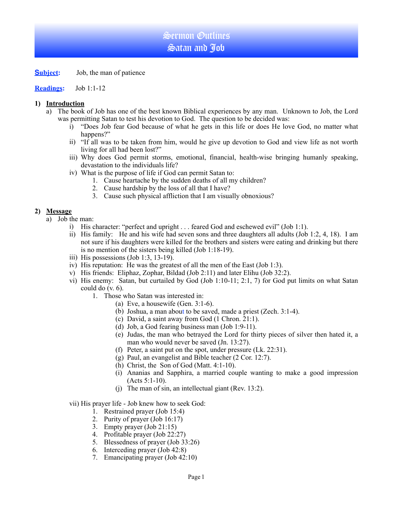# Sermon Outlines Satan and Job

**Subject:** Job, the man of patience

**Readings:** Job 1:1-12

#### **1) Introduction**

- a) The book of Job has one of the best known Biblical experiences by any man. Unknown to Job, the Lord was permitting Satan to test his devotion to God. The question to be decided was:
	- i) "Does Job fear God because of what he gets in this life or does He love God, no matter what happens?"
	- ii) "If all was to be taken from him, would he give up devotion to God and view life as not worth living for all had been lost?"
	- iii) Why does God permit storms, emotional, financial, health-wise bringing humanly speaking, devastation to the individuals life?
	- iv) What is the purpose of life if God can permit Satan to:
		- 1. Cause heartache by the sudden deaths of all my children?
		- 2. Cause hardship by the loss of all that I have?
		- 3. Cause such physical affliction that I am visually obnoxious?

## **2) Message**

- a) Job the man:
	- i) His character: "perfect and upright . . . feared God and eschewed evil" (Job 1:1).
	- ii) His family: He and his wife had seven sons and three daughters all adults (Job 1:2, 4, 18). I am not sure if his daughters were killed for the brothers and sisters were eating and drinking but there is no mention of the sisters being killed (Job 1:18-19).
	- iii) His possessions (Job 1:3, 13-19).
	- iv) His reputation: He was the greatest of all the men of the East (Job 1:3).
	- v) His friends: Eliphaz, Zophar, Bildad (Job 2:11) and later Elihu (Job 32:2).
	- vi) His enemy: Satan, but curtailed by God (Job 1:10-11; 2:1, 7) for God put limits on what Satan could do (v. 6).
		- 1. Those who Satan was interested in:
			- (a) Eve, a housewife (Gen. 3:1-6).
			- (b) Joshua, a man about to be saved, made a priest (Zech. 3:1-4).
			- (c) David, a saint away from God (1 Chron. 21:1).
			- (d) Job, a God fearing business man (Job 1:9-11).
			- (e) Judas, the man who betrayed the Lord for thirty pieces of silver then hated it, a man who would never be saved (Jn. 13:27).
			- (f) Peter, a saint put on the spot, under pressure (Lk. 22:31).
			- (g) Paul, an evangelist and Bible teacher (2 Cor. 12:7).
			- (h) Christ, the Son of God (Matt. 4:1-10).
			- (i) Ananias and Sapphira, a married couple wanting to make a good impression (Acts 5:1-10).
			- (j) The man of sin, an intellectual giant (Rev. 13:2).

#### vii) His prayer life - Job knew how to seek God:

- 1. Restrained prayer (Job 15:4)
- 2. Purity of prayer (Job 16:17)
- 3. Empty prayer (Job 21:15)
- 4. Profitable prayer (Job 22:27)
- 5. Blessedness of prayer (Job 33:26)
- 6. Interceding prayer (Job 42:8)
- 7. Emancipating prayer (Job 42:10)